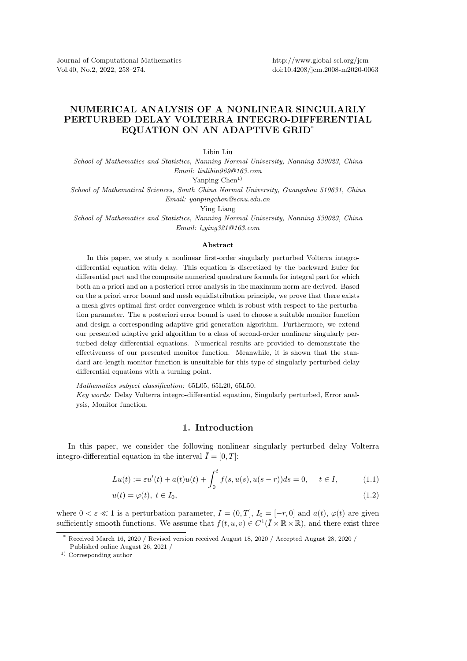## NUMERICAL ANALYSIS OF A NONLINEAR SINGULARLY PERTURBED DELAY VOLTERRA INTEGRO-DIFFERENTIAL EQUATION ON AN ADAPTIVE GRID\*

Libin Liu

School of Mathematics and Statistics, Nanning Normal University, Nanning 530023, China Email: liulibin969@163.com

Yanping  $Chen<sup>1</sup>$ 

School of Mathematical Sciences, South China Normal University, Guangzhou 510631, China Email: yanpingchen@scnu.edu.cn

Ying Liang

School of Mathematics and Statistics, Nanning Normal University, Nanning 530023, China Email: l ying321@163.com

## Abstract

In this paper, we study a nonlinear first-order singularly perturbed Volterra integrodifferential equation with delay. This equation is discretized by the backward Euler for differential part and the composite numerical quadrature formula for integral part for which both an a priori and an a posteriori error analysis in the maximum norm are derived. Based on the a priori error bound and mesh equidistribution principle, we prove that there exists a mesh gives optimal first order convergence which is robust with respect to the perturbation parameter. The a posteriori error bound is used to choose a suitable monitor function and design a corresponding adaptive grid generation algorithm. Furthermore, we extend our presented adaptive grid algorithm to a class of second-order nonlinear singularly perturbed delay differential equations. Numerical results are provided to demonstrate the effectiveness of our presented monitor function. Meanwhile, it is shown that the standard arc-length monitor function is unsuitable for this type of singularly perturbed delay differential equations with a turning point.

Mathematics subject classification: 65L05, 65L20, 65L50.

Key words: Delay Volterra integro-differential equation, Singularly perturbed, Error analysis, Monitor function.

## 1. Introduction

In this paper, we consider the following nonlinear singularly perturbed delay Volterra integro-differential equation in the interval  $\overline{I} = [0, T]$ :

$$
Lu(t) := \varepsilon u'(t) + a(t)u(t) + \int_0^t f(s, u(s), u(s-r))ds = 0, \quad t \in I,
$$
\n(1.1)

$$
u(t) = \varphi(t), \ t \in I_0,\tag{1.2}
$$

where  $0 < \varepsilon \ll 1$  is a perturbation parameter,  $I = (0, T]$ ,  $I_0 = [-r, 0]$  and  $a(t)$ ,  $\varphi(t)$  are given sufficiently smooth functions. We assume that  $f(t, u, v) \in C^1(\overline{I} \times \mathbb{R} \times \mathbb{R})$ , and there exist three

Received March 16, 2020 / Revised version received August 18, 2020 / Accepted August 28, 2020 /

Published online August 26, 2021 /

<sup>1)</sup> Corresponding author